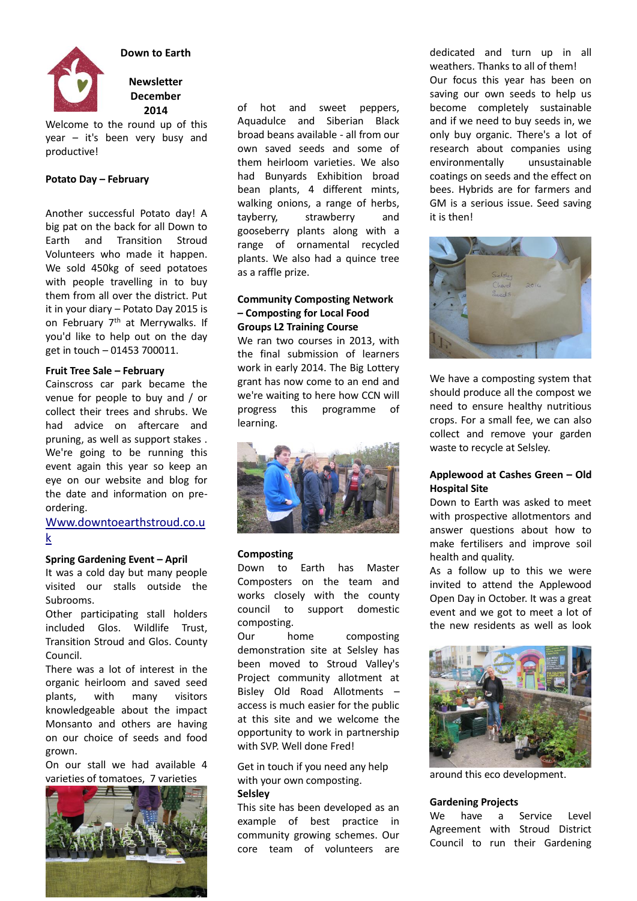

**Down to Earth** 

# **Newsletter December 2014**

Welcome to the round up of this year – it's been very busy and productive!

### **Potato Day – February**

Another successful Potato day! A big pat on the back for all Down to Earth and Transition Stroud Volunteers who made it happen. We sold 450kg of seed potatoes with people travelling in to buy them from all over the district. Put it in your diary – Potato Day 2015 is on February 7<sup>th</sup> at Merrywalks. If you'd like to help out on the day get in touch – 01453 700011.

### **Fruit Tree Sale – February**

Cainscross car park became the venue for people to buy and / or collect their trees and shrubs. We had advice on aftercare and pruning, as well as support stakes . We're going to be running this event again this year so keep an eye on our website and blog for the date and information on preordering.

# [Www.downtoearthstroud.co.u](http://www.downtoearthstroud.co.uk/) [k](http://www.downtoearthstroud.co.uk/)

### **Spring Gardening Event - April**

It was a cold day but many people visited our stalls outside the Subrooms.

Other participating stall holders included Glos. Wildlife Trust, Transition Stroud and Glos. County Council.

There was a lot of interest in the organic heirloom and saved seed plants, with many visitors knowledgeable about the impact Monsanto and others are having on our choice of seeds and food grown.

On our stall we had available 4 varieties of tomatoes, 7 varieties



of hot and sweet peppers, Aquadulce and Siberian Black broad beans available - all from our own saved seeds and some of them heirloom varieties. We also had Bunyards Exhibition broad bean plants, 4 different mints, walking onions, a range of herbs, tayberry, strawberry and gooseberry plants along with a range of ornamental recycled plants. We also had a quince tree as a raffle prize.

### **Community Composting Network – Composting for Local Food Groups L2 Training Course**

We ran two courses in 2013, with the final submission of learners work in early 2014. The Big Lottery grant has now come to an end and we're waiting to here how CCN will progress this programme of learning.



## **Composting**

Down to Earth has Master Composters on the team and works closely with the county council to support domestic composting.

Our home composting demonstration site at Selsley has been moved to Stroud Valley's Project community allotment at Bisley Old Road Allotments – access is much easier for the public at this site and we welcome the opportunity to work in partnership with SVP. Well done Fred!

Get in touch if you need any help with your own composting. **Selsley**

This site has been developed as an example of best practice in community growing schemes. Our core team of volunteers are dedicated and turn up in all weathers. Thanks to all of them! Our focus this year has been on saving our own seeds to help us become completely sustainable and if we need to buy seeds in, we only buy organic. There's a lot of research about companies using environmentally unsustainable coatings on seeds and the effect on bees. Hybrids are for farmers and GM is a serious issue. Seed saving it is then!



We have a composting system that should produce all the compost we need to ensure healthy nutritious crops. For a small fee, we can also collect and remove your garden waste to recycle at Selsley.

## **Applewood at Cashes Green – Old Hospital Site**

Down to Earth was asked to meet with prospective allotmentors and answer questions about how to make fertilisers and improve soil health and quality.

As a follow up to this we were invited to attend the Applewood Open Day in October. It was a great event and we got to meet a lot of the new residents as well as look



around this eco development.

### **Gardening Projects**

We have a Service Level Agreement with Stroud District Council to run their Gardening